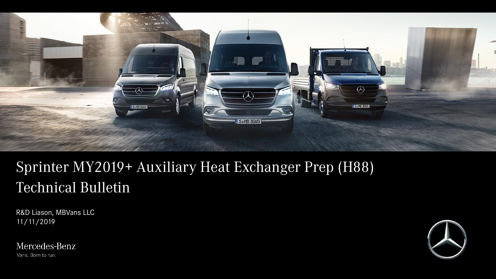

# Sprinter MY2019+ Auxiliary Heat Exchanger Prep (H88) Technical Bulletin

R&D Liason, MBVans LLC 11/11/2019

Mercedes-Benz Vans. Born to run.

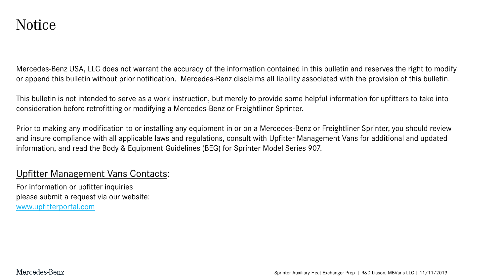Mercedes-Benz USA, LLC does not warrant the accuracy of the information contained in this bulletin and reserves the right to modify or append this bulletin without prior notification. Mercedes-Benz disclaims all liability associated with the provision of this bulletin.

This bulletin is not intended to serve as a work instruction, but merely to provide some helpful information for upfitters to take into consideration before retrofitting or modifying a Mercedes-Benz or Freightliner Sprinter.

Prior to making any modification to or installing any equipment in or on a Mercedes-Benz or Freightliner Sprinter, you should review and insure compliance with all applicable laws and regulations, consult with Upfitter Management Vans for additional and updated information, and read the Body & Equipment Guidelines (BEG) for Sprinter Model Series 907.

#### Upfitter Management Vans Contacts:

For information or upfitter inquiries please submit a request via our website: [www.upfitterportal.com](http://www.upfitterportalcom/)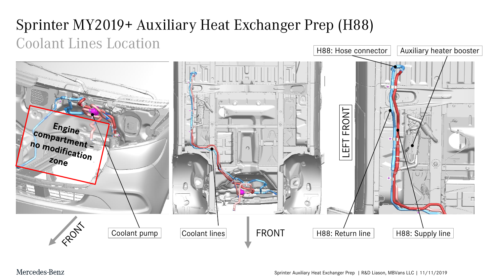# Sprinter MY2019+ Auxiliary Heat Exchanger Prep (H88) Coolant Lines Location